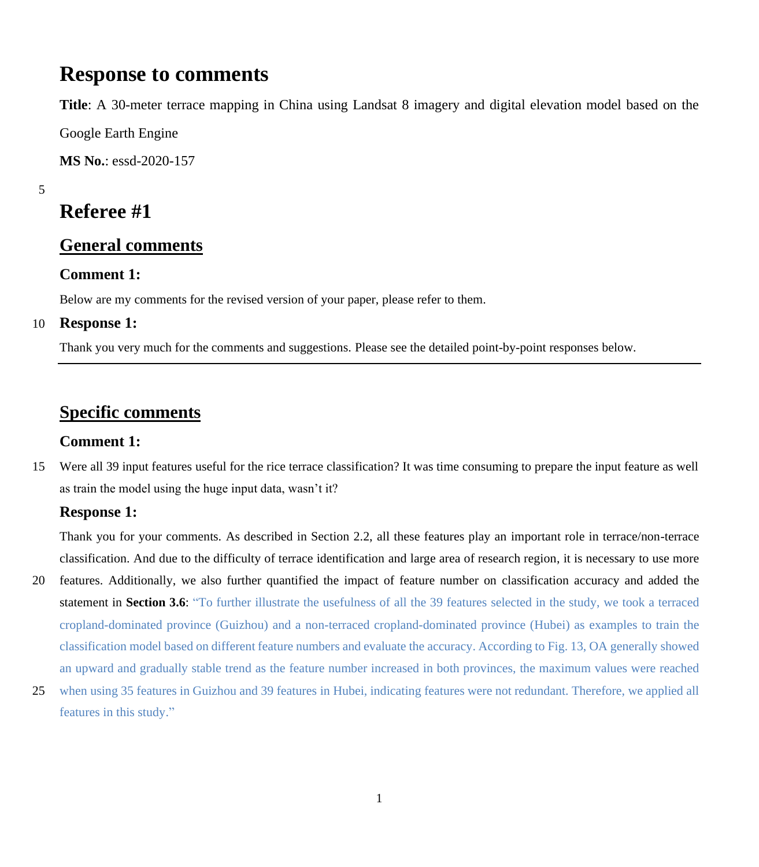## **Response to comments**

**Title**: A 30-meter terrace mapping in China using Landsat 8 imagery and digital elevation model based on the

Google Earth Engine

**MS No.**: essd-2020-157

5

# **Referee #1**

### **General comments**

#### **Comment 1:**

Below are my comments for the revised version of your paper, please refer to them.

#### 10 **Response 1:**

Thank you very much for the comments and suggestions. Please see the detailed point-by-point responses below.

### **Specific comments**

#### **Comment 1:**

15 Were all 39 input features useful for the rice terrace classification? It was time consuming to prepare the input feature as well as train the model using the huge input data, wasn't it?

#### **Response 1:**

Thank you for your comments. As described in Section 2.2, all these features play an important role in terrace/non-terrace classification. And due to the difficulty of terrace identification and large area of research region, it is necessary to use more

- 20 features. Additionally, we also further quantified the impact of feature number on classification accuracy and added the statement in **Section 3.6**: "To further illustrate the usefulness of all the 39 features selected in the study, we took a terraced cropland-dominated province (Guizhou) and a non-terraced cropland-dominated province (Hubei) as examples to train the classification model based on different feature numbers and evaluate the accuracy. According to Fig. 13, OA generally showed an upward and gradually stable trend as the feature number increased in both provinces, the maximum values were reached
- 25 when using 35 features in Guizhou and 39 features in Hubei, indicating features were not redundant. Therefore, we applied all features in this study."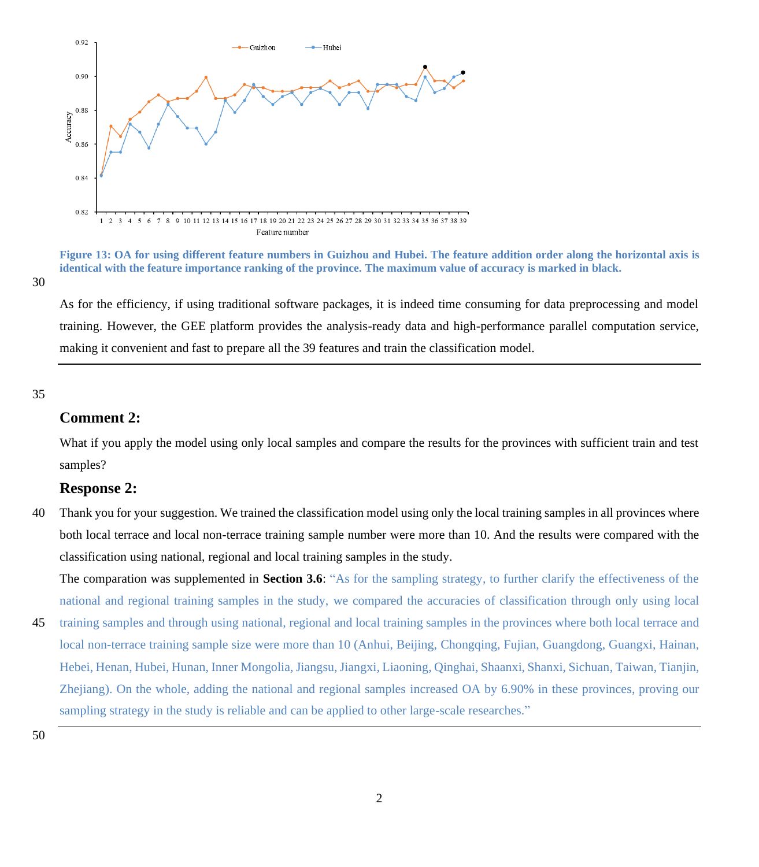

**Figure 13: OA for using different feature numbers in Guizhou and Hubei. The feature addition order along the horizontal axis is identical with the feature importance ranking of the province. The maximum value of accuracy is marked in black.**

30

As for the efficiency, if using traditional software packages, it is indeed time consuming for data preprocessing and model training. However, the GEE platform provides the analysis-ready data and high-performance parallel computation service, making it convenient and fast to prepare all the 39 features and train the classification model.

35

#### **Comment 2:**

What if you apply the model using only local samples and compare the results for the provinces with sufficient train and test samples?

#### **Response 2:**

40 Thank you for your suggestion. We trained the classification model using only the local training samples in all provinces where both local terrace and local non-terrace training sample number were more than 10. And the results were compared with the classification using national, regional and local training samples in the study.

The comparation was supplemented in **Section 3.6**: "As for the sampling strategy, to further clarify the effectiveness of the national and regional training samples in the study, we compared the accuracies of classification through only using local

45 training samples and through using national, regional and local training samples in the provinces where both local terrace and local non-terrace training sample size were more than 10 (Anhui, Beijing, Chongqing, Fujian, Guangdong, Guangxi, Hainan, Hebei, Henan, Hubei, Hunan, Inner Mongolia, Jiangsu, Jiangxi, Liaoning, Qinghai, Shaanxi, Shanxi, Sichuan, Taiwan, Tianjin, Zhejiang). On the whole, adding the national and regional samples increased OA by 6.90% in these provinces, proving our sampling strategy in the study is reliable and can be applied to other large-scale researches."

50